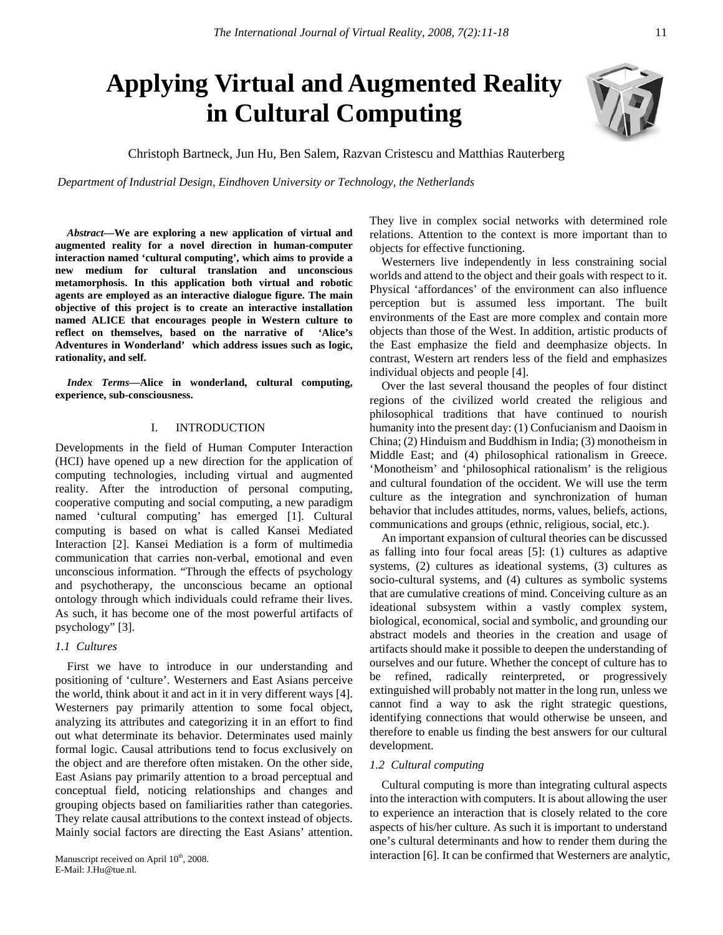# **Applying Virtual and Augmented Reality in Cultural Computing**

Christoph Bartneck, Jun Hu, Ben Salem, Razvan Cristescu and Matthias Rauterberg

*Department of Industrial Design, Eindhoven University or Technology, the Netherlands* 

*Abstract—***We are exploring a new application of virtual and augmented reality for a novel direction in human-computer interaction named 'cultural computing', which aims to provide a new medium for cultural translation and unconscious metamorphosis. In this application both virtual and robotic agents are employed as an interactive dialogue figure. The main objective of this project is to create an interactive installation named ALICE that encourages people in Western culture to reflect on themselves, based on the narrative of 'Alice's Adventures in Wonderland' which address issues such as logic, rationality, and self.** 

*Index Terms—***Alice in wonderland, cultural computing, experience, sub-consciousness.** 

# I. INTRODUCTION

Developments in the field of Human Computer Interaction (HCI) have opened up a new direction for the application of computing technologies, including virtual and augmented reality. After the introduction of personal computing, cooperative computing and social computing, a new paradigm named 'cultural computing' has emerged [1]. Cultural computing is based on what is called Kansei Mediated Interaction [2]. Kansei Mediation is a form of multimedia communication that carries non-verbal, emotional and even unconscious information. "Through the effects of psychology and psychotherapy, the unconscious became an optional ontology through which individuals could reframe their lives. As such, it has become one of the most powerful artifacts of psychology" [3].

## *1.1 Cultures*

First we have to introduce in our understanding and positioning of 'culture'. Westerners and East Asians perceive the world, think about it and act in it in very different ways [4]. Westerners pay primarily attention to some focal object, analyzing its attributes and categorizing it in an effort to find out what determinate its behavior. Determinates used mainly formal logic. Causal attributions tend to focus exclusively on the object and are therefore often mistaken. On the other side, East Asians pay primarily attention to a broad perceptual and conceptual field, noticing relationships and changes and grouping objects based on familiarities rather than categories. They relate causal attributions to the context instead of objects. Mainly social factors are directing the East Asians' attention. They live in complex social networks with determined role relations. Attention to the context is more important than to objects for effective functioning.

Westerners live independently in less constraining social worlds and attend to the object and their goals with respect to it. Physical 'affordances' of the environment can also influence perception but is assumed less important. The built environments of the East are more complex and contain more objects than those of the West. In addition, artistic products of the East emphasize the field and deemphasize objects. In contrast, Western art renders less of the field and emphasizes individual objects and people [4].

Over the last several thousand the peoples of four distinct regions of the civilized world created the religious and philosophical traditions that have continued to nourish humanity into the present day: (1) Confucianism and Daoism in China; (2) Hinduism and Buddhism in India; (3) monotheism in Middle East; and (4) philosophical rationalism in Greece. 'Monotheism' and 'philosophical rationalism' is the religious and cultural foundation of the occident. We will use the term culture as the integration and synchronization of human behavior that includes attitudes, norms, values, beliefs, actions, communications and groups (ethnic, religious, social, etc.).

An important expansion of cultural theories can be discussed as falling into four focal areas [5]: (1) cultures as adaptive systems, (2) cultures as ideational systems, (3) cultures as socio-cultural systems, and (4) cultures as symbolic systems that are cumulative creations of mind. Conceiving culture as an ideational subsystem within a vastly complex system, biological, economical, social and symbolic, and grounding our abstract models and theories in the creation and usage of artifacts should make it possible to deepen the understanding of ourselves and our future. Whether the concept of culture has to be refined, radically reinterpreted, or progressively extinguished will probably not matter in the long run, unless we cannot find a way to ask the right strategic questions, identifying connections that would otherwise be unseen, and therefore to enable us finding the best answers for our cultural development.

# *1.2 Cultural computing*

Cultural computing is more than integrating cultural aspects into the interaction with computers. It is about allowing the user to experience an interaction that is closely related to the core aspects of his/her culture. As such it is important to understand one's cultural determinants and how to render them during the interaction [6]. It can be confirmed that Westerners are analytic,

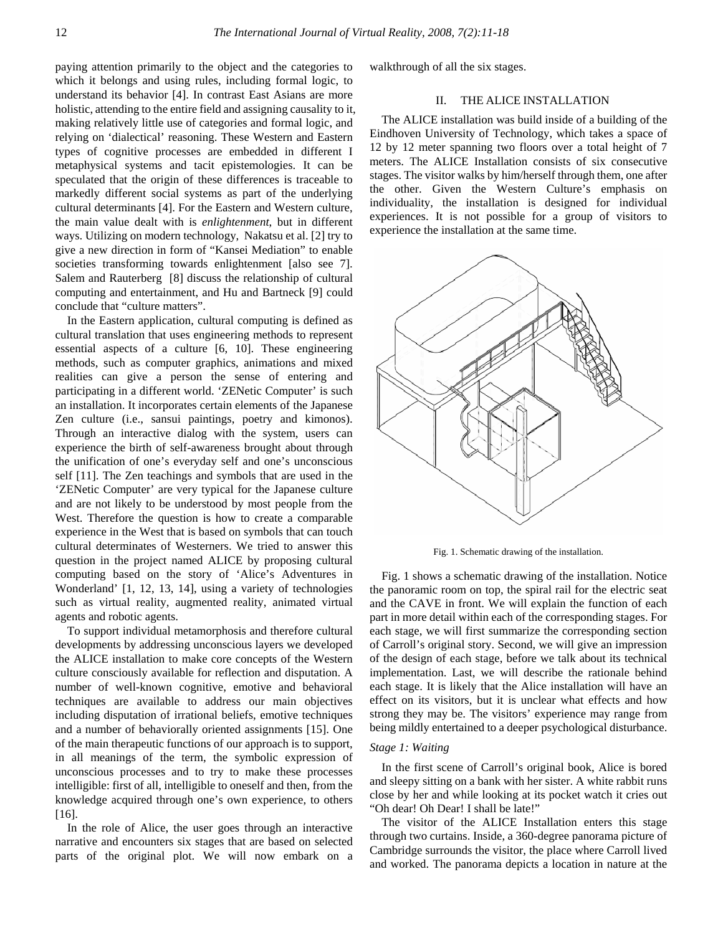paying attention primarily to the object and the categories to which it belongs and using rules, including formal logic, to understand its behavior [4]. In contrast East Asians are more holistic, attending to the entire field and assigning causality to it, making relatively little use of categories and formal logic, and relying on 'dialectical' reasoning. These Western and Eastern types of cognitive processes are embedded in different I metaphysical systems and tacit epistemologies. It can be speculated that the origin of these differences is traceable to markedly different social systems as part of the underlying cultural determinants [4]. For the Eastern and Western culture, the main value dealt with is *enlightenment*, but in different ways. Utilizing on modern technology, Nakatsu et al. [2] try to give a new direction in form of "Kansei Mediation" to enable societies transforming towards enlightenment [also see 7]. Salem and Rauterberg [8] discuss the relationship of cultural computing and entertainment, and Hu and Bartneck [9] could conclude that "culture matters".

In the Eastern application, cultural computing is defined as cultural translation that uses engineering methods to represent essential aspects of a culture [6, 10]. These engineering methods, such as computer graphics, animations and mixed realities can give a person the sense of entering and participating in a different world. 'ZENetic Computer' is such an installation. It incorporates certain elements of the Japanese Zen culture (i.e., sansui paintings, poetry and kimonos). Through an interactive dialog with the system, users can experience the birth of self-awareness brought about through the unification of one's everyday self and one's unconscious self [11]. The Zen teachings and symbols that are used in the 'ZENetic Computer' are very typical for the Japanese culture and are not likely to be understood by most people from the West. Therefore the question is how to create a comparable experience in the West that is based on symbols that can touch cultural determinates of Westerners. We tried to answer this question in the project named ALICE by proposing cultural computing based on the story of 'Alice's Adventures in Wonderland' [1, 12, 13, 14], using a variety of technologies such as virtual reality, augmented reality, animated virtual agents and robotic agents.

To support individual metamorphosis and therefore cultural developments by addressing unconscious layers we developed the ALICE installation to make core concepts of the Western culture consciously available for reflection and disputation. A number of well-known cognitive, emotive and behavioral techniques are available to address our main objectives including disputation of irrational beliefs, emotive techniques and a number of behaviorally oriented assignments [15]. One of the main therapeutic functions of our approach is to support, in all meanings of the term, the symbolic expression of unconscious processes and to try to make these processes intelligible: first of all, intelligible to oneself and then, from the knowledge acquired through one's own experience, to others [16].

In the role of Alice, the user goes through an interactive narrative and encounters six stages that are based on selected parts of the original plot. We will now embark on a

walkthrough of all the six stages.

# II. THE ALICE INSTALLATION

The ALICE installation was build inside of a building of the Eindhoven University of Technology, which takes a space of 12 by 12 meter spanning two floors over a total height of 7 meters. The ALICE Installation consists of six consecutive stages. The visitor walks by him/herself through them, one after the other. Given the Western Culture's emphasis on individuality, the installation is designed for individual experiences. It is not possible for a group of visitors to experience the installation at the same time.



Fig. 1. Schematic drawing of the installation.

Fig. 1 shows a schematic drawing of the installation. Notice the panoramic room on top, the spiral rail for the electric seat and the CAVE in front. We will explain the function of each part in more detail within each of the corresponding stages. For each stage, we will first summarize the corresponding section of Carroll's original story. Second, we will give an impression of the design of each stage, before we talk about its technical implementation. Last, we will describe the rationale behind each stage. It is likely that the Alice installation will have an effect on its visitors, but it is unclear what effects and how strong they may be. The visitors' experience may range from being mildly entertained to a deeper psychological disturbance.

# *Stage 1: Waiting*

In the first scene of Carroll's original book, Alice is bored and sleepy sitting on a bank with her sister. A white rabbit runs close by her and while looking at its pocket watch it cries out "Oh dear! Oh Dear! I shall be late!"

The visitor of the ALICE Installation enters this stage through two curtains. Inside, a 360-degree panorama picture of Cambridge surrounds the visitor, the place where Carroll lived and worked. The panorama depicts a location in nature at the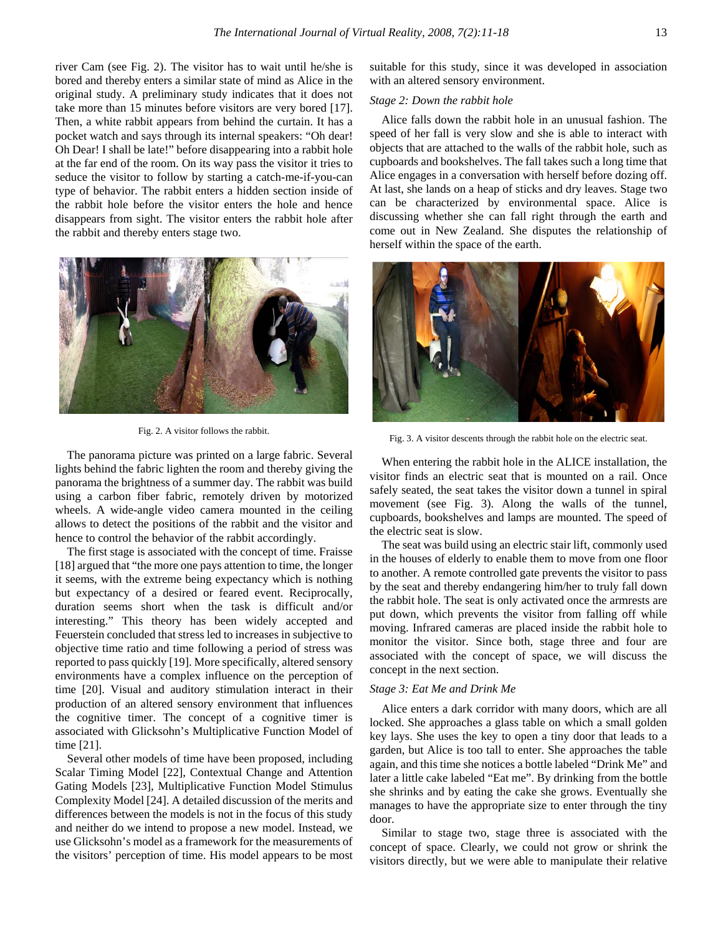river Cam (see Fig. 2). The visitor has to wait until he/she is bored and thereby enters a similar state of mind as Alice in the original study. A preliminary study indicates that it does not take more than 15 minutes before visitors are very bored [17]. Then, a white rabbit appears from behind the curtain. It has a pocket watch and says through its internal speakers: "Oh dear! Oh Dear! I shall be late!" before disappearing into a rabbit hole at the far end of the room. On its way pass the visitor it tries to seduce the visitor to follow by starting a catch-me-if-you-can type of behavior. The rabbit enters a hidden section inside of the rabbit hole before the visitor enters the hole and hence disappears from sight. The visitor enters the rabbit hole after the rabbit and thereby enters stage two.



Fig. 2. A visitor follows the rabbit.

The panorama picture was printed on a large fabric. Several lights behind the fabric lighten the room and thereby giving the panorama the brightness of a summer day. The rabbit was build using a carbon fiber fabric, remotely driven by motorized wheels. A wide-angle video camera mounted in the ceiling allows to detect the positions of the rabbit and the visitor and hence to control the behavior of the rabbit accordingly.

The first stage is associated with the concept of time. Fraisse [18] argued that "the more one pays attention to time, the longer it seems, with the extreme being expectancy which is nothing but expectancy of a desired or feared event. Reciprocally, duration seems short when the task is difficult and/or interesting." This theory has been widely accepted and Feuerstein concluded that stress led to increases in subjective to objective time ratio and time following a period of stress was reported to pass quickly [19]. More specifically, altered sensory environments have a complex influence on the perception of time [20]. Visual and auditory stimulation interact in their production of an altered sensory environment that influences the cognitive timer. The concept of a cognitive timer is associated with Glicksohn's Multiplicative Function Model of time [21].

Several other models of time have been proposed, including Scalar Timing Model [22], Contextual Change and Attention Gating Models [23], Multiplicative Function Model Stimulus Complexity Model [24]. A detailed discussion of the merits and differences between the models is not in the focus of this study and neither do we intend to propose a new model. Instead, we use Glicksohn's model as a framework for the measurements of the visitors' perception of time. His model appears to be most

suitable for this study, since it was developed in association with an altered sensory environment.

# *Stage 2: Down the rabbit hole*

Alice falls down the rabbit hole in an unusual fashion. The speed of her fall is very slow and she is able to interact with objects that are attached to the walls of the rabbit hole, such as cupboards and bookshelves. The fall takes such a long time that Alice engages in a conversation with herself before dozing off. At last, she lands on a heap of sticks and dry leaves. Stage two can be characterized by environmental space. Alice is discussing whether she can fall right through the earth and come out in New Zealand. She disputes the relationship of herself within the space of the earth.



Fig. 3. A visitor descents through the rabbit hole on the electric seat.

When entering the rabbit hole in the ALICE installation, the visitor finds an electric seat that is mounted on a rail. Once safely seated, the seat takes the visitor down a tunnel in spiral movement (see Fig. 3). Along the walls of the tunnel, cupboards, bookshelves and lamps are mounted. The speed of the electric seat is slow.

The seat was build using an electric stair lift, commonly used in the houses of elderly to enable them to move from one floor to another. A remote controlled gate prevents the visitor to pass by the seat and thereby endangering him/her to truly fall down the rabbit hole. The seat is only activated once the armrests are put down, which prevents the visitor from falling off while moving. Infrared cameras are placed inside the rabbit hole to monitor the visitor. Since both, stage three and four are associated with the concept of space, we will discuss the concept in the next section.

# *Stage 3: Eat Me and Drink Me*

Alice enters a dark corridor with many doors, which are all locked. She approaches a glass table on which a small golden key lays. She uses the key to open a tiny door that leads to a garden, but Alice is too tall to enter. She approaches the table again, and this time she notices a bottle labeled "Drink Me" and later a little cake labeled "Eat me". By drinking from the bottle she shrinks and by eating the cake she grows. Eventually she manages to have the appropriate size to enter through the tiny door.

Similar to stage two, stage three is associated with the concept of space. Clearly, we could not grow or shrink the visitors directly, but we were able to manipulate their relative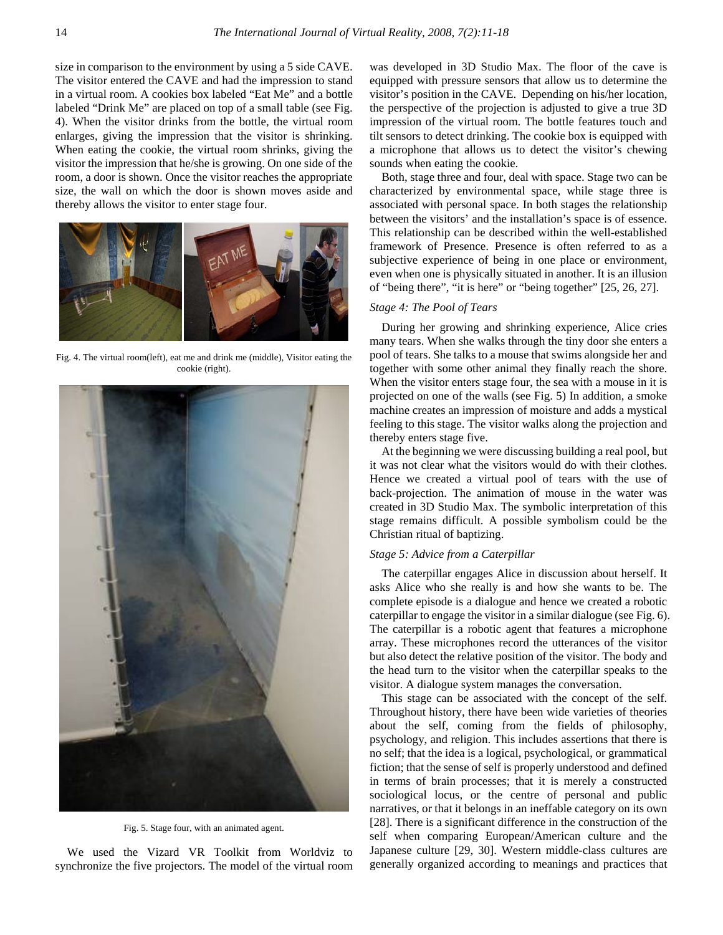size in comparison to the environment by using a 5 side CAVE. The visitor entered the CAVE and had the impression to stand in a virtual room. A cookies box labeled "Eat Me" and a bottle labeled "Drink Me" are placed on top of a small table (see Fig. 4). When the visitor drinks from the bottle, the virtual room enlarges, giving the impression that the visitor is shrinking. When eating the cookie, the virtual room shrinks, giving the visitor the impression that he/she is growing. On one side of the room, a door is shown. Once the visitor reaches the appropriate size, the wall on which the door is shown moves aside and thereby allows the visitor to enter stage four.



Fig. 4. The virtual room(left), eat me and drink me (middle), Visitor eating the cookie (right).



Fig. 5. Stage four, with an animated agent.

We used the Vizard VR Toolkit from Worldviz to synchronize the five projectors. The model of the virtual room was developed in 3D Studio Max. The floor of the cave is equipped with pressure sensors that allow us to determine the visitor's position in the CAVE. Depending on his/her location, the perspective of the projection is adjusted to give a true 3D impression of the virtual room. The bottle features touch and tilt sensors to detect drinking. The cookie box is equipped with a microphone that allows us to detect the visitor's chewing sounds when eating the cookie.

Both, stage three and four, deal with space. Stage two can be characterized by environmental space, while stage three is associated with personal space. In both stages the relationship between the visitors' and the installation's space is of essence. This relationship can be described within the well-established framework of Presence. Presence is often referred to as a subjective experience of being in one place or environment, even when one is physically situated in another. It is an illusion of "being there", "it is here" or "being together" [25, 26, 27].

# *Stage 4: The Pool of Tears*

During her growing and shrinking experience, Alice cries many tears. When she walks through the tiny door she enters a pool of tears. She talks to a mouse that swims alongside her and together with some other animal they finally reach the shore. When the visitor enters stage four, the sea with a mouse in it is projected on one of the walls (see Fig. 5) In addition, a smoke machine creates an impression of moisture and adds a mystical feeling to this stage. The visitor walks along the projection and thereby enters stage five.

At the beginning we were discussing building a real pool, but it was not clear what the visitors would do with their clothes. Hence we created a virtual pool of tears with the use of back-projection. The animation of mouse in the water was created in 3D Studio Max. The symbolic interpretation of this stage remains difficult. A possible symbolism could be the Christian ritual of baptizing.

## *Stage 5: Advice from a Caterpillar*

The caterpillar engages Alice in discussion about herself. It asks Alice who she really is and how she wants to be. The complete episode is a dialogue and hence we created a robotic caterpillar to engage the visitor in a similar dialogue (see Fig. 6). The caterpillar is a robotic agent that features a microphone array. These microphones record the utterances of the visitor but also detect the relative position of the visitor. The body and the head turn to the visitor when the caterpillar speaks to the visitor. A dialogue system manages the conversation.

This stage can be associated with the concept of the self. Throughout history, there have been wide varieties of theories about the self, coming from the fields of philosophy, psychology, and religion. This includes assertions that there is no self; that the idea is a logical, psychological, or grammatical fiction; that the sense of self is properly understood and defined in terms of brain processes; that it is merely a constructed sociological locus, or the centre of personal and public narratives, or that it belongs in an ineffable category on its own [28]. There is a significant difference in the construction of the self when comparing European/American culture and the Japanese culture [29, 30]. Western middle-class cultures are generally organized according to meanings and practices that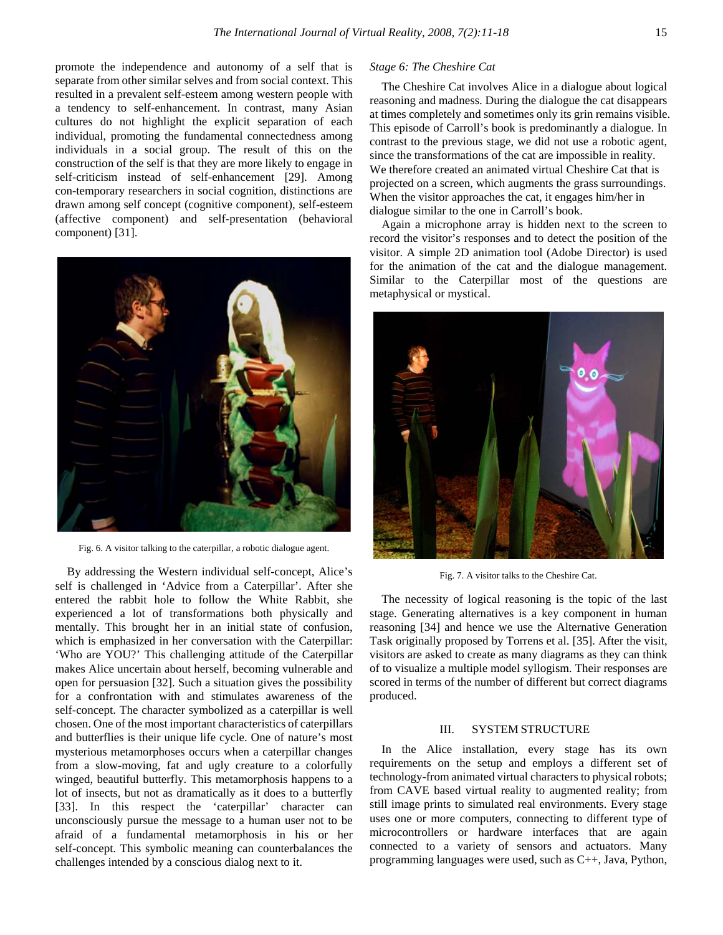promote the independence and autonomy of a self that is separate from other similar selves and from social context. This resulted in a prevalent self-esteem among western people with a tendency to self-enhancement. In contrast, many Asian cultures do not highlight the explicit separation of each individual, promoting the fundamental connectedness among individuals in a social group. The result of this on the construction of the self is that they are more likely to engage in self-criticism instead of self-enhancement [29]. Among con-temporary researchers in social cognition, distinctions are drawn among self concept (cognitive component), self-esteem (affective component) and self-presentation (behavioral component) [31].



Fig. 6. A visitor talking to the caterpillar, a robotic dialogue agent.

By addressing the Western individual self-concept, Alice's self is challenged in 'Advice from a Caterpillar'. After she entered the rabbit hole to follow the White Rabbit, she experienced a lot of transformations both physically and mentally. This brought her in an initial state of confusion, which is emphasized in her conversation with the Caterpillar: 'Who are YOU?' This challenging attitude of the Caterpillar makes Alice uncertain about herself, becoming vulnerable and open for persuasion [32]. Such a situation gives the possibility for a confrontation with and stimulates awareness of the self-concept. The character symbolized as a caterpillar is well chosen. One of the most important characteristics of caterpillars and butterflies is their unique life cycle. One of nature's most mysterious metamorphoses occurs when a caterpillar changes from a slow-moving, fat and ugly creature to a colorfully winged, beautiful butterfly. This metamorphosis happens to a lot of insects, but not as dramatically as it does to a butterfly [33]. In this respect the 'caterpillar' character can unconsciously pursue the message to a human user not to be afraid of a fundamental metamorphosis in his or her self-concept. This symbolic meaning can counterbalances the challenges intended by a conscious dialog next to it.

# *Stage 6: The Cheshire Cat*

The Cheshire Cat involves Alice in a dialogue about logical reasoning and madness. During the dialogue the cat disappears at times completely and sometimes only its grin remains visible. This episode of Carroll's book is predominantly a dialogue. In contrast to the previous stage, we did not use a robotic agent, since the transformations of the cat are impossible in reality. We therefore created an animated virtual Cheshire Cat that is projected on a screen, which augments the grass surroundings. When the visitor approaches the cat, it engages him/her in dialogue similar to the one in Carroll's book.

Again a microphone array is hidden next to the screen to record the visitor's responses and to detect the position of the visitor. A simple 2D animation tool (Adobe Director) is used for the animation of the cat and the dialogue management. Similar to the Caterpillar most of the questions are metaphysical or mystical.



Fig. 7. A visitor talks to the Cheshire Cat.

The necessity of logical reasoning is the topic of the last stage. Generating alternatives is a key component in human reasoning [34] and hence we use the Alternative Generation Task originally proposed by Torrens et al. [35]. After the visit, visitors are asked to create as many diagrams as they can think of to visualize a multiple model syllogism. Their responses are scored in terms of the number of different but correct diagrams produced.

### III. SYSTEM STRUCTURE

In the Alice installation, every stage has its own requirements on the setup and employs a different set of technology-from animated virtual characters to physical robots; from CAVE based virtual reality to augmented reality; from still image prints to simulated real environments. Every stage uses one or more computers, connecting to different type of microcontrollers or hardware interfaces that are again connected to a variety of sensors and actuators. Many programming languages were used, such as C++, Java, Python,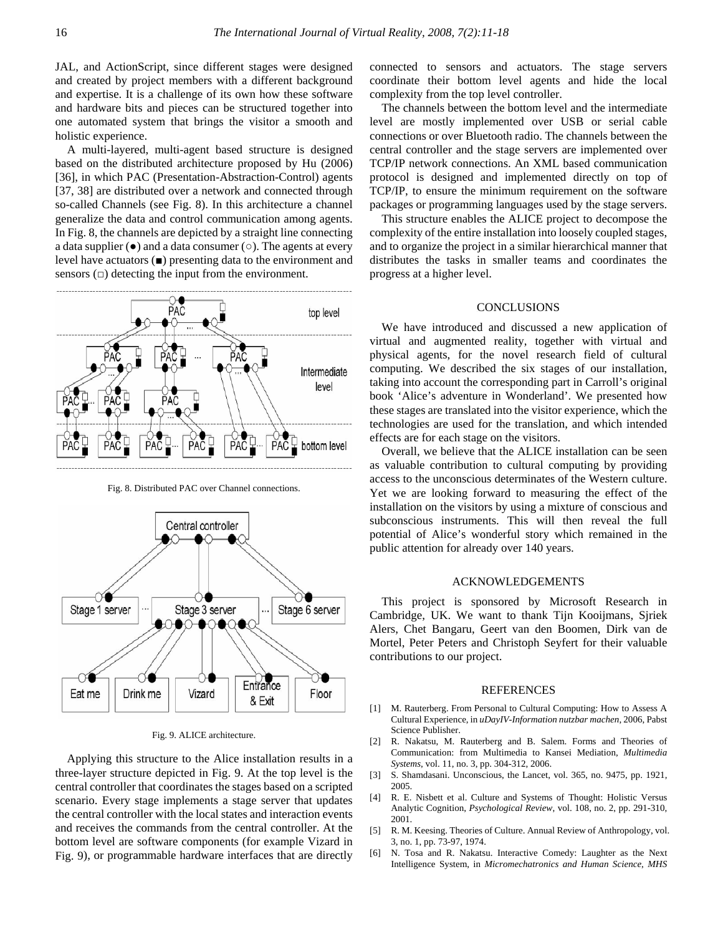JAL, and ActionScript, since different stages were designed and created by project members with a different background and expertise. It is a challenge of its own how these software and hardware bits and pieces can be structured together into one automated system that brings the visitor a smooth and holistic experience.

A multi-layered, multi-agent based structure is designed based on the distributed architecture proposed by Hu (2006) [36], in which PAC (Presentation-Abstraction-Control) agents [37, 38] are distributed over a network and connected through so-called Channels (see Fig. 8). In this architecture a channel generalize the data and control communication among agents. In Fig. 8, the channels are depicted by a straight line connecting a data supplier  $(\bullet)$  and a data consumer  $(\circ)$ . The agents at every level have actuators (■) presenting data to the environment and sensors  $(\Box)$  detecting the input from the environment.



Fig. 8. Distributed PAC over Channel connections.



Fig. 9. ALICE architecture.

Applying this structure to the Alice installation results in a three-layer structure depicted in Fig. 9. At the top level is the central controller that coordinates the stages based on a scripted scenario. Every stage implements a stage server that updates the central controller with the local states and interaction events and receives the commands from the central controller. At the bottom level are software components (for example Vizard in Fig. 9), or programmable hardware interfaces that are directly

connected to sensors and actuators. The stage servers coordinate their bottom level agents and hide the local complexity from the top level controller.

The channels between the bottom level and the intermediate level are mostly implemented over USB or serial cable connections or over Bluetooth radio. The channels between the central controller and the stage servers are implemented over TCP/IP network connections. An XML based communication protocol is designed and implemented directly on top of TCP/IP, to ensure the minimum requirement on the software packages or programming languages used by the stage servers.

This structure enables the ALICE project to decompose the complexity of the entire installation into loosely coupled stages, and to organize the project in a similar hierarchical manner that distributes the tasks in smaller teams and coordinates the progress at a higher level.

#### **CONCLUSIONS**

We have introduced and discussed a new application of virtual and augmented reality, together with virtual and physical agents, for the novel research field of cultural computing. We described the six stages of our installation, taking into account the corresponding part in Carroll's original book 'Alice's adventure in Wonderland'. We presented how these stages are translated into the visitor experience, which the technologies are used for the translation, and which intended effects are for each stage on the visitors.

Overall, we believe that the ALICE installation can be seen as valuable contribution to cultural computing by providing access to the unconscious determinates of the Western culture. Yet we are looking forward to measuring the effect of the installation on the visitors by using a mixture of conscious and subconscious instruments. This will then reveal the full potential of Alice's wonderful story which remained in the public attention for already over 140 years.

#### ACKNOWLEDGEMENTS

This project is sponsored by Microsoft Research in Cambridge, UK. We want to thank Tijn Kooijmans, Sjriek Alers, Chet Bangaru, Geert van den Boomen, Dirk van de Mortel, Peter Peters and Christoph Seyfert for their valuable contributions to our project.

#### REFERENCES

- [1] M. Rauterberg. From Personal to Cultural Computing: How to Assess A Cultural Experience, in *uDayIV-Information nutzbar machen*, 2006, Pabst Science Publisher.
- [2] R. Nakatsu, M. Rauterberg and B. Salem. Forms and Theories of Communication: from Multimedia to Kansei Mediation, *Multimedia Systems*, vol. 11, no. 3, pp. 304-312, 2006.
- [3] S. Shamdasani. Unconscious, the Lancet, vol. 365, no. 9475, pp. 1921, 2005.
- [4] R. E. Nisbett et al. Culture and Systems of Thought: Holistic Versus Analytic Cognition, *Psychological Review*, vol. 108, no. 2, pp. 291-310, 2001.
- [5] R. M. Keesing. Theories of Culture. Annual Review of Anthropology, vol. 3, no. 1, pp. 73-97, 1974.
- [6] N. Tosa and R. Nakatsu. Interactive Comedy: Laughter as the Next Intelligence System, in *Micromechatronics and Human Science*, *MHS*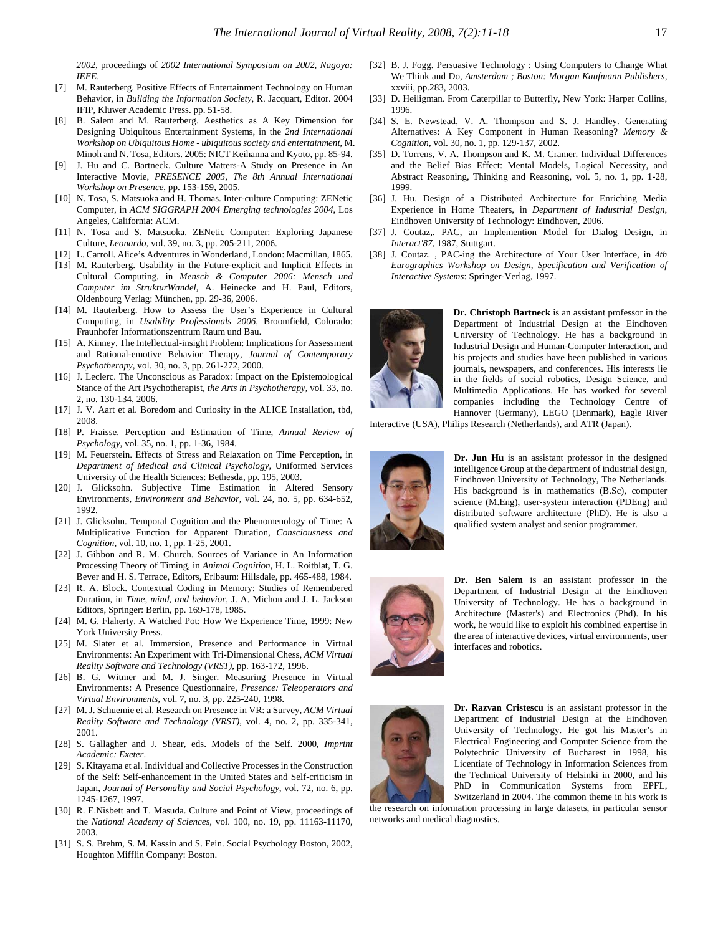*2002,* proceedings of *2002 International Symposium on 2002, Nagoya: IEEE*.

- [7] M. Rauterberg. Positive Effects of Entertainment Technology on Human Behavior, in *Building the Information Society*, R. Jacquart, Editor. 2004 IFIP, Kluwer Academic Press. pp. 51-58.
- [8] B. Salem and M. Rauterberg. Aesthetics as A Key Dimension for Designing Ubiquitous Entertainment Systems, in the *2nd International Workshop on Ubiquitous Home - ubiquitous society and entertainment*, M. Minoh and N. Tosa, Editors. 2005: NICT Keihanna and Kyoto, pp. 85-94.
- [9] J. Hu and C. Bartneck. Culture Matters-A Study on Presence in An Interactive Movie, *PRESENCE 2005, The 8th Annual International Workshop on Presence*, pp. 153-159, 2005.
- [10] N. Tosa, S. Matsuoka and H. Thomas. Inter-culture Computing: ZENetic Computer, in *ACM SIGGRAPH 2004 Emerging technologies 2004*, Los Angeles, California: ACM.
- [11] N. Tosa and S. Matsuoka. ZENetic Computer: Exploring Japanese Culture, *Leonardo*, vol. 39, no. 3, pp. 205-211, 2006.
- [12] L. Carroll. Alice's Adventures in Wonderland, London: Macmillan, 1865.
- [13] M. Rauterberg. Usability in the Future-explicit and Implicit Effects in Cultural Computing, in *Mensch & Computer 2006: Mensch und Computer im StrukturWandel*, A. Heinecke and H. Paul, Editors, Oldenbourg Verlag: München, pp. 29-36, 2006.
- [14] M. Rauterberg. How to Assess the User's Experience in Cultural Computing, in *Usability Professionals 2006,* Broomfield, Colorado: Fraunhofer Informationszentrum Raum und Bau.
- [15] A. Kinney. The Intellectual-insight Problem: Implications for Assessment and Rational-emotive Behavior Therapy, *Journal of Contemporary Psychotherapy,* vol. 30, no. 3, pp. 261-272, 2000.
- [16] J. Leclerc. The Unconscious as Paradox: Impact on the Epistemological Stance of the Art Psychotherapist, *the Arts in Psychotherapy*, vol. 33, no. 2, no. 130-134, 2006.
- [17] J. V. Aart et al. Boredom and Curiosity in the ALICE Installation, tbd, 2008.
- [18] P. Fraisse. Perception and Estimation of Time, *Annual Review of Psychology*, vol. 35, no. 1, pp. 1-36, 1984.
- [19] M. Feuerstein. Effects of Stress and Relaxation on Time Perception, in *Department of Medical and Clinical Psychology,* Uniformed Services University of the Health Sciences: Bethesda, pp. 195, 2003.
- [20] J. Glicksohn. Subjective Time Estimation in Altered Sensory Environments, *Environment and Behavior*, vol. 24, no. 5, pp. 634-652, 1992.
- [21] J. Glicksohn. Temporal Cognition and the Phenomenology of Time: A Multiplicative Function for Apparent Duration, *Consciousness and Cognition*, vol. 10, no. 1, pp. 1-25, 2001.
- [22] J. Gibbon and R. M. Church. Sources of Variance in An Information Processing Theory of Timing, in *Animal Cognition*, H. L. Roitblat, T. G. Bever and H. S. Terrace, Editors, Erlbaum: Hillsdale, pp. 465-488, 1984.
- [23] R. A. Block. Contextual Coding in Memory: Studies of Remembered Duration, in *Time, mind, and behavior*, J. A. Michon and J. L. Jackson Editors, Springer: Berlin, pp. 169-178, 1985.
- [24] M. G. Flaherty. A Watched Pot: How We Experience Time, 1999: New York University Press.
- [25] M. Slater et al. Immersion, Presence and Performance in Virtual Environments: An Experiment with Tri-Dimensional Chess, *ACM Virtual Reality Software and Technology (VRST)*, pp. 163-172, 1996.
- [26] B. G. Witmer and M. J. Singer. Measuring Presence in Virtual Environments: A Presence Questionnaire, *Presence: Teleoperators and Virtual Environments*, vol. 7, no. 3, pp. 225-240, 1998.
- [27] M. J. Schuemie et al. Research on Presence in VR: a Survey, *ACM Virtual Reality Software and Technology (VRST)*, vol. 4, no. 2, pp. 335-341, 2001.
- [28] S. Gallagher and J. Shear, eds. Models of the Self. 2000, *Imprint Academic: Exeter*.
- [29] S. Kitayama et al. Individual and Collective Processes in the Construction of the Self: Self-enhancement in the United States and Self-criticism in Japan, *Journal of Personality and Social Psychology*, vol. 72, no. 6, pp. 1245-1267, 1997.
- [30] R. E.Nisbett and T. Masuda. Culture and Point of View, proceedings of the *National Academy of Sciences*, vol. 100, no. 19, pp. 11163-11170, 2003.
- [31] S. S. Brehm, S. M. Kassin and S. Fein. Social Psychology Boston, 2002, Houghton Mifflin Company: Boston.
- [32] B. J. Fogg. Persuasive Technology : Using Computers to Change What We Think and Do, *Amsterdam ; Boston: Morgan Kaufmann Publishers,*  xxviii, pp.283, 2003.
- [33] D. Heiligman. From Caterpillar to Butterfly, New York: Harper Collins, 1996.
- [34] S. E. Newstead, V. A. Thompson and S. J. Handley. Generating Alternatives: A Key Component in Human Reasoning? *Memory & Cognition*, vol. 30, no. 1, pp. 129-137, 2002.
- [35] D. Torrens, V. A. Thompson and K. M. Cramer. Individual Differences and the Belief Bias Effect: Mental Models, Logical Necessity, and Abstract Reasoning, Thinking and Reasoning, vol. 5, no. 1, pp. 1-28, 1999.
- [36] J. Hu. Design of a Distributed Architecture for Enriching Media Experience in Home Theaters, in *Department of Industrial Design*, Eindhoven University of Technology: Eindhoven, 2006.
- [37] J. Coutaz,. PAC, an Implemention Model for Dialog Design, in *Interact'87,* 1987, Stuttgart.
- [38] J. Coutaz. , PAC-ing the Architecture of Your User Interface, in *4th Eurographics Workshop on Design, Specification and Verification of Interactive Systems*: Springer-Verlag, 1997.



**Dr. Christoph Bartneck** is an assistant professor in the Department of Industrial Design at the Eindhoven University of Technology. He has a background in Industrial Design and Human-Computer Interaction, and his projects and studies have been published in various journals, newspapers, and conferences. His interests lie in the fields of social robotics, Design Science, and Multimedia Applications. He has worked for several companies including the Technology Centre of Hannover (Germany), LEGO (Denmark), Eagle River

Interactive (USA), Philips Research (Netherlands), and ATR (Japan).



**Dr. Jun Hu** is an assistant professor in the designed intelligence Group at the department of industrial design, Eindhoven University of Technology, The Netherlands. His background is in mathematics (B.Sc), computer science (M.Eng), user-system interaction (PDEng) and distributed software architecture (PhD). He is also a qualified system analyst and senior programmer.



**Dr. Ben Salem** is an assistant professor in the Department of Industrial Design at the Eindhoven University of Technology. He has a background in Architecture (Master's) and Electronics (Phd). In his work, he would like to exploit his combined expertise in the area of interactive devices, virtual environments, user interfaces and robotics.



**Dr. Razvan Cristescu** is an assistant professor in the Department of Industrial Design at the Eindhoven University of Technology. He got his Master's in Electrical Engineering and Computer Science from the Polytechnic University of Bucharest in 1998, his Licentiate of Technology in Information Sciences from the Technical University of Helsinki in 2000, and his PhD in Communication Systems from EPFL, Switzerland in 2004. The common theme in his work is

the research on information processing in large datasets, in particular sensor networks and medical diagnostics.